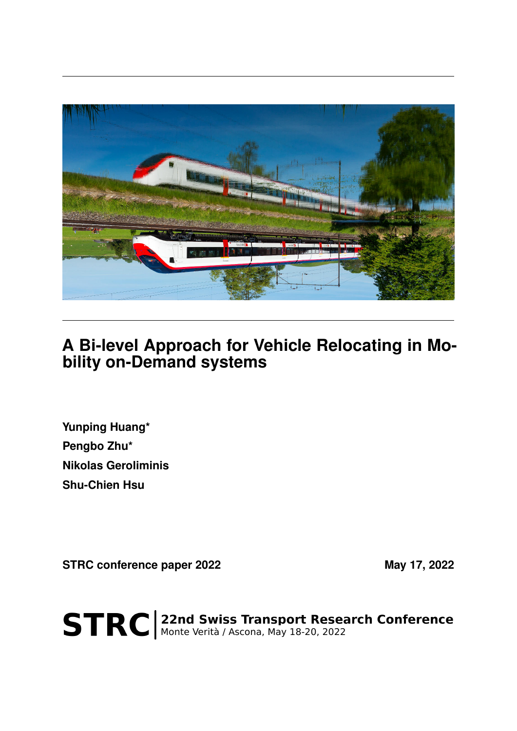

## **A Bi-level Approach for Vehicle Relocating in Mobility on-Demand systems**

**Yunping Huang\* Pengbo Zhu\* Nikolas Geroliminis Shu-Chien Hsu**

**STRC conference paper 2022** May 17, 2022

STRC | 22nd Swiss Transport Research Conference